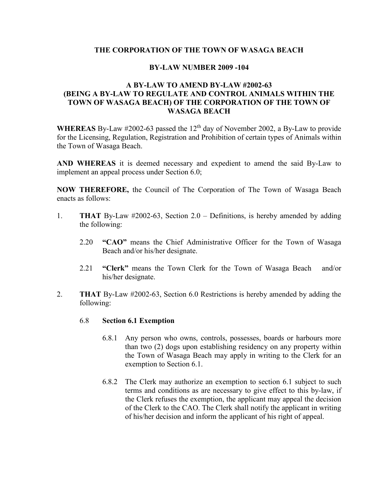## **THE CORPORATION OF THE TOWN OF WASAGA BEACH**

## **BY-LAW NUMBER 2009 -104**

## **A BY-LAW TO AMEND BY-LAW #2002-63 (BEING A BY-LAW TO REGULATE AND CONTROL ANIMALS WITHIN THE TOWN OF WASAGA BEACH) OF THE CORPORATION OF THE TOWN OF WASAGA BEACH**

**WHEREAS** By-Law  $\#2002$ -63 passed the 12<sup>th</sup> day of November 2002, a By-Law to provide for the Licensing, Regulation, Registration and Prohibition of certain types of Animals within the Town of Wasaga Beach.

**AND WHEREAS** it is deemed necessary and expedient to amend the said By-Law to implement an appeal process under Section 6.0;

**NOW THEREFORE,** the Council of The Corporation of The Town of Wasaga Beach enacts as follows:

- 1. **THAT** By-Law #2002-63, Section 2.0 Definitions, is hereby amended by adding the following:
	- 2.20 **"CAO"** means the Chief Administrative Officer for the Town of Wasaga Beach and/or his/her designate.
	- 2.21 **"Clerk"** means the Town Clerk for the Town of Wasaga Beach and/or his/her designate.
- 2. **THAT** By-Law #2002-63, Section 6.0 Restrictions is hereby amended by adding the following:
	- 6.8 **Section 6.1 Exemption**
		- 6.8.1 Any person who owns, controls, possesses, boards or harbours more than two (2) dogs upon establishing residency on any property within the Town of Wasaga Beach may apply in writing to the Clerk for an exemption to Section 6.1.
		- 6.8.2 The Clerk may authorize an exemption to section 6.1 subject to such terms and conditions as are necessary to give effect to this by-law, if the Clerk refuses the exemption, the applicant may appeal the decision of the Clerk to the CAO. The Clerk shall notify the applicant in writing of his/her decision and inform the applicant of his right of appeal.